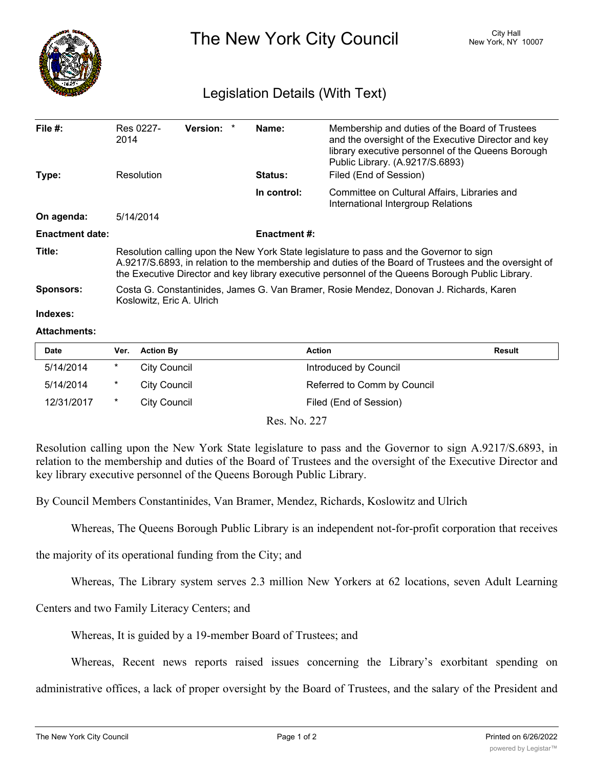

The New York City Council New York, NY 10007

## Legislation Details (With Text)

| File $#$ :             | Res 0227-<br>2014                                                                                                                                                                                                                                                                                    | Version: * |  | Name:               | Membership and duties of the Board of Trustees<br>and the oversight of the Executive Director and key<br>library executive personnel of the Queens Borough<br>Public Library. (A.9217/S.6893) |  |  |
|------------------------|------------------------------------------------------------------------------------------------------------------------------------------------------------------------------------------------------------------------------------------------------------------------------------------------------|------------|--|---------------------|-----------------------------------------------------------------------------------------------------------------------------------------------------------------------------------------------|--|--|
| Type:                  | Resolution                                                                                                                                                                                                                                                                                           |            |  | <b>Status:</b>      | Filed (End of Session)                                                                                                                                                                        |  |  |
|                        |                                                                                                                                                                                                                                                                                                      |            |  | In control:         | Committee on Cultural Affairs, Libraries and<br>International Intergroup Relations                                                                                                            |  |  |
| On agenda:             | 5/14/2014                                                                                                                                                                                                                                                                                            |            |  |                     |                                                                                                                                                                                               |  |  |
| <b>Enactment date:</b> |                                                                                                                                                                                                                                                                                                      |            |  | <b>Enactment #:</b> |                                                                                                                                                                                               |  |  |
| Title:                 | Resolution calling upon the New York State legislature to pass and the Governor to sign<br>A.9217/S.6893, in relation to the membership and duties of the Board of Trustees and the oversight of<br>the Executive Director and key library executive personnel of the Queens Borough Public Library. |            |  |                     |                                                                                                                                                                                               |  |  |
| <b>Sponsors:</b>       | Costa G. Constantinides, James G. Van Bramer, Rosie Mendez, Donovan J. Richards, Karen<br>Koslowitz, Eric A. Ulrich                                                                                                                                                                                  |            |  |                     |                                                                                                                                                                                               |  |  |
| Indexes:               |                                                                                                                                                                                                                                                                                                      |            |  |                     |                                                                                                                                                                                               |  |  |

## **Attachments:**

| <b>Date</b> | Ver.   | <b>Action By</b> | <b>Action</b>               | Result |
|-------------|--------|------------------|-----------------------------|--------|
| 5/14/2014   | *      | City Council     | Introduced by Council       |        |
| 5/14/2014   | $\ast$ | City Council     | Referred to Comm by Council |        |
| 12/31/2017  | *      | City Council     | Filed (End of Session)      |        |

Res. No. 227

Resolution calling upon the New York State legislature to pass and the Governor to sign A.9217/S.6893, in relation to the membership and duties of the Board of Trustees and the oversight of the Executive Director and key library executive personnel of the Queens Borough Public Library.

By Council Members Constantinides, Van Bramer, Mendez, Richards, Koslowitz and Ulrich

Whereas, The Queens Borough Public Library is an independent not-for-profit corporation that receives

the majority of its operational funding from the City; and

Whereas, The Library system serves 2.3 million New Yorkers at 62 locations, seven Adult Learning

Centers and two Family Literacy Centers; and

Whereas, It is guided by a 19-member Board of Trustees; and

Whereas, Recent news reports raised issues concerning the Library's exorbitant spending on

administrative offices, a lack of proper oversight by the Board of Trustees, and the salary of the President and